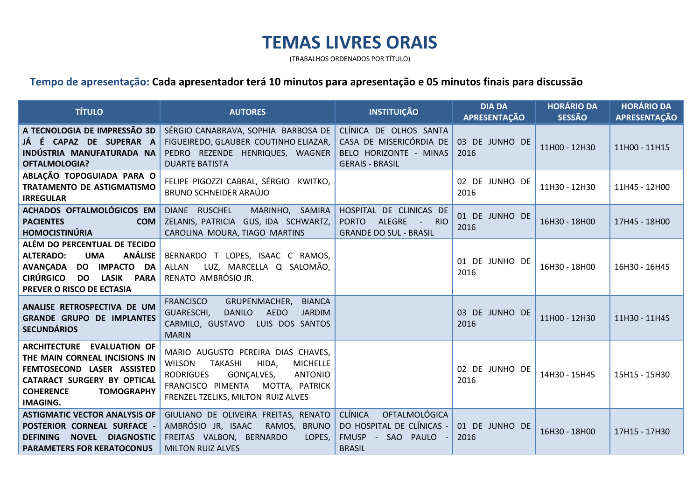## **TEMAS LIVRES ORAIS**

(TRABALHOS ORDENADOS POR TÍTULO)

## **Tempo de apresentação: Cada apresentador terá 10 minutos para apresentação e 05 minutos finais para discussão**

| <b>TÍTULO</b>                                                                                                                                                                                    | <b>AUTORES</b>                                                                                                                                                                                                                  | <b>INSTITUIÇÃO</b>                                                                                        | <b>DIA DA</b><br><b>APRESENTAÇÃO</b> | <b>HORÁRIO DA</b><br><b>SESSÃO</b> | <b>HORÁRIO DA</b><br><b>APRESENTAÇÃO</b> |
|--------------------------------------------------------------------------------------------------------------------------------------------------------------------------------------------------|---------------------------------------------------------------------------------------------------------------------------------------------------------------------------------------------------------------------------------|-----------------------------------------------------------------------------------------------------------|--------------------------------------|------------------------------------|------------------------------------------|
| A TECNOLOGIA DE IMPRESSÃO 3D<br>JÁ É CAPAZ DE SUPERAR A<br>INDÚSTRIA MANUFATURADA NA<br><b>OFTALMOLOGIA?</b>                                                                                     | SÉRGIO CANABRAVA, SOPHIA BARBOSA DE<br>FIGUEIREDO, GLAUBER COUTINHO ELIAZAR,<br>PEDRO REZENDE HENRIQUES, WAGNER<br><b>DUARTE BATISTA</b>                                                                                        | CLÍNICA DE OLHOS SANTA<br>CASA DE MISERICÓRDIA DE<br>BELO HORIZONTE - MINAS<br><b>GERAIS - BRASIL</b>     | 03 DE JUNHO DE<br>2016               | 11H00 - 12H30                      | 11H00 - 11H15                            |
| ABLAÇÃO TOPOGUIADA PARA O<br><b>TRATAMENTO DE ASTIGMATISMO</b><br><b>IRREGULAR</b>                                                                                                               | FELIPE PIGOZZI CABRAL, SÉRGIO KWITKO,<br>BRUNO SCHNEIDER ARAÚJO                                                                                                                                                                 |                                                                                                           | 02 DE JUNHO DE<br>2016               | 11H30 - 12H30                      | 11H45 - 12H00                            |
| ACHADOS OFTALMOLÓGICOS EM<br><b>PACIENTES</b><br>com<br><b>HOMOCISTINÚRIA</b>                                                                                                                    | DIANE RUSCHEL<br>MARINHO, SAMIRA<br>ZELANIS, PATRICIA GUS, IDA SCHWARTZ,<br>CAROLINA MOURA, TIAGO MARTINS                                                                                                                       | HOSPITAL DE CLINICAS DE<br>ALEGRE<br><b>PORTO</b><br>- RIO<br><b>GRANDE DO SUL - BRASIL</b>               | 01 DE JUNHO DE<br>2016               | 16H30 - 18H00                      | 17H45 - 18H00                            |
| ALÉM DO PERCENTUAL DE TECIDO<br>ANÁLISE<br><b>ALTERADO:</b><br><b>UMA</b><br><b>IMPACTO DA</b><br>AVANÇADA DO<br><b>CIRÚRGICO</b><br><b>LASIK PARA</b><br><b>DO</b><br>PREVER O RISCO DE ECTASIA | BERNARDO T LOPES, ISAAC C RAMOS,<br>LUZ, MARCELLA Q SALOMÃO,<br><b>ALLAN</b><br>RENATO AMBRÓSIO JR.                                                                                                                             |                                                                                                           | 01 DE JUNHO DE<br>2016               | 16H30 - 18H00                      | 16H30 - 16H45                            |
| ANALISE RETROSPECTIVA DE UM<br><b>GRANDE GRUPO DE IMPLANTES</b><br><b>SECUNDÁRIOS</b>                                                                                                            | <b>FRANCISCO</b><br>GRUPENMACHER,<br><b>BIANCA</b><br><b>AEDO</b><br>GUARESCHI,<br><b>DANILO</b><br><b>JARDIM</b><br>CARMILO, GUSTAVO LUIS DOS SANTOS<br><b>MARIN</b>                                                           |                                                                                                           | 03 DE JUNHO DE<br>2016               | 11H00 - 12H30                      | 11H30 - 11H45                            |
| ARCHITECTURE EVALUATION OF<br>THE MAIN CORNEAL INCISIONS IN<br>FEMTOSECOND LASER ASSISTED<br>CATARACT SURGERY BY OPTICAL<br><b>COHERENCE</b><br><b>TOMOGRAPHY</b><br><b>IMAGING.</b>             | MARIO AUGUSTO PEREIRA DIAS CHAVES,<br><b>WILSON</b><br><b>TAKASHI</b><br>HIDA,<br><b>MICHELLE</b><br><b>ANTONIO</b><br><b>RODRIGUES</b><br>GONÇALVES,<br>FRANCISCO PIMENTA MOTTA, PATRICK<br>FRENZEL TZELIKS, MILTON RUIZ ALVES |                                                                                                           | 02 DE JUNHO DE<br>2016               | 14H30 - 15H45                      | 15H15 - 15H30                            |
| <b>ASTIGMATIC VECTOR ANALYSIS OF</b><br>POSTERIOR CORNEAL SURFACE -<br>NOVEL DIAGNOSTIC<br><b>DEFINING</b><br><b>PARAMETERS FOR KERATOCONUS</b>                                                  | GIULIANO DE OLIVEIRA FREITAS, RENATO<br>AMBRÓSIO JR, ISAAC<br>RAMOS, BRUNO<br>FREITAS VALBON, BERNARDO<br>LOPES,<br><b>MILTON RUIZ ALVES</b>                                                                                    | <b>CLÍNICA</b><br><b>OFTALMOLÓGICA</b><br>DO HOSPITAL DE CLÍNICAS -<br>FMUSP - SAO PAULO<br><b>BRASIL</b> | 01 DE JUNHO DE<br>2016               | 16H30 - 18H00                      | 17H15 - 17H30                            |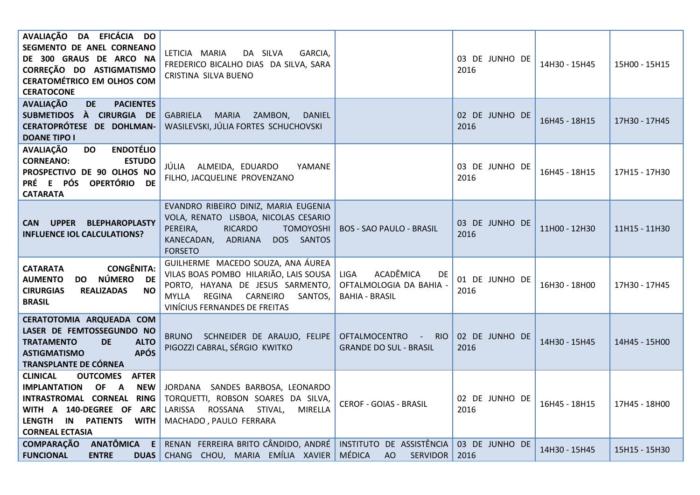| AVALIAÇÃO DA EFICÁCIA DO<br>SEGMENTO DE ANEL CORNEANO<br>DE 300 GRAUS DE ARCO NA<br>CORREÇÃO DO ASTIGMATISMO<br><b>CERATOMÉTRICO EM OLHOS COM</b><br><b>CERATOCONE</b>                                                                          | DA SILVA<br>LETICIA MARIA<br>GARCIA,<br>FREDERICO BICALHO DIAS DA SILVA, SARA<br>CRISTINA SILVA BUENO                                                                                         |                                                                                    | 03 DE JUNHO DE<br>2016 | 14H30 - 15H45 | 15H00 - 15H15 |
|-------------------------------------------------------------------------------------------------------------------------------------------------------------------------------------------------------------------------------------------------|-----------------------------------------------------------------------------------------------------------------------------------------------------------------------------------------------|------------------------------------------------------------------------------------|------------------------|---------------|---------------|
| <b>AVALIAÇÃO</b><br><b>PACIENTES</b><br><b>DE</b><br>SUBMETIDOS À CIRURGIA DE<br>CERATOPRÓTESE DE DOHLMAN-<br><b>DOANE TIPO I</b>                                                                                                               | MARIA ZAMBON,<br>GABRIELA<br><b>DANIEL</b><br>WASILEVSKI, JÚLIA FORTES SCHUCHOVSKI                                                                                                            |                                                                                    | 02 DE JUNHO DE<br>2016 | 16H45 - 18H15 | 17H30 - 17H45 |
| <b>ENDOTÉLIO</b><br><b>AVALIAÇÃO</b><br><b>DO</b><br><b>CORNEANO:</b><br><b>ESTUDO</b><br>PROSPECTIVO DE 90 OLHOS NO<br>PRÉ E PÓS OPERTÓRIO DE<br><b>CATARATA</b>                                                                               | JÚLIA ALMEIDA, EDUARDO<br>YAMANE<br>FILHO, JACQUELINE PROVENZANO                                                                                                                              |                                                                                    | 03 DE JUNHO DE<br>2016 | 16H45 - 18H15 | 17H15 - 17H30 |
| <b>CAN UPPER</b><br><b>BLEPHAROPLASTY</b><br><b>INFLUENCE IOL CALCULATIONS?</b>                                                                                                                                                                 | EVANDRO RIBEIRO DINIZ, MARIA EUGENIA<br>VOLA, RENATO LISBOA, NICOLAS CESARIO<br><b>RICARDO</b><br>PEREIRA,<br><b>TOMOYOSHI</b><br>KANECADAN, ADRIANA DOS SANTOS<br><b>FORSETO</b>             | <b>BOS - SAO PAULO - BRASIL</b>                                                    | 03 DE JUNHO DE<br>2016 | 11H00 - 12H30 | 11H15 - 11H30 |
| <b>CONGÊNITA:</b><br><b>CATARATA</b><br>NÚMERO DE<br><b>AUMENTO</b><br><b>DO</b><br><b>CIRURGIAS</b><br><b>REALIZADAS</b><br>NO.<br><b>BRASIL</b>                                                                                               | GUILHERME MACEDO SOUZA, ANA ÁUREA<br>VILAS BOAS POMBO HILARIÃO, LAIS SOUSA<br>PORTO, HAYANA DE JESUS SARMENTO,<br>REGINA CARNEIRO<br><b>MYLLA</b><br>SANTOS,<br>VINÍCIUS FERNANDES DE FREITAS | ACADÊMICA<br><b>LIGA</b><br>DE<br>OFTALMOLOGIA DA BAHIA -<br><b>BAHIA - BRASIL</b> | 01 DE JUNHO DE<br>2016 | 16H30 - 18H00 | 17H30 - 17H45 |
| CERATOTOMIA ARQUEADA COM<br>LASER DE FEMTOSSEGUNDO NO<br><b>TRATAMENTO</b><br><b>DE</b><br><b>ALTO</b><br><b>APÓS</b><br><b>ASTIGMATISMO</b><br>TRANSPLANTE DE CÓRNEA                                                                           | BRUNO SCHNEIDER DE ARAUJO, FELIPE<br>PIGOZZI CABRAL, SÉRGIO KWITKO                                                                                                                            | <b>OFTALMOCENTRO</b><br>- RIO I<br><b>GRANDE DO SUL - BRASIL</b>                   | 02 DE JUNHO DE<br>2016 | 14H30 - 15H45 | 14H45 - 15H00 |
| <b>CLINICAL</b><br><b>AFTER</b><br><b>OUTCOMES</b><br><b>IMPLANTATION</b><br>OF<br>$\mathsf{A}$<br><b>NEW</b><br>INTRASTROMAL CORNEAL RING<br>WITH A 140-DEGREE OF ARC<br>LENGTH IN<br><b>PATIENTS</b><br><b>WITH</b><br><b>CORNEAL ECTASIA</b> | JORDANA SANDES BARBOSA, LEONARDO<br>TORQUETTI, ROBSON SOARES DA SILVA,<br>LARISSA<br>ROSSANA STIVAL,<br>MIRELLA<br>MACHADO, PAULO FERRARA                                                     | <b>CEROF - GOIAS - BRASIL</b>                                                      | 02 DE JUNHO DE<br>2016 | 16H45 - 18H15 | 17H45 - 18H00 |
| ANATÔMICA E<br><b>COMPARAÇÃO</b><br><b>FUNCIONAL</b><br><b>ENTRE</b><br><b>DUAS</b>                                                                                                                                                             | RENAN FERREIRA BRITO CÂNDIDO, ANDRÉ   INSTITUTO DE ASSISTÊNCIA  <br>CHANG CHOU, MARIA EMÍLIA XAVIER                                                                                           | MÉDICA<br><b>AO</b><br>SERVIDOR                                                    | 03 DE JUNHO DE<br>2016 | 14H30 - 15H45 | 15H15 - 15H30 |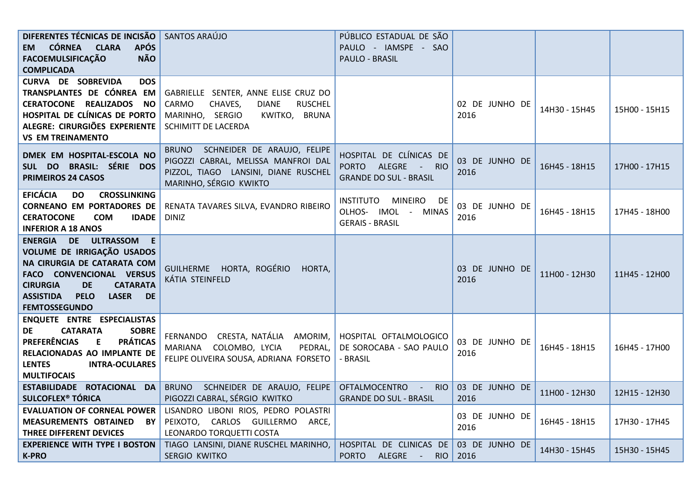| DIFERENTES TÉCNICAS DE INCISÃO   SANTOS ARAÚJO                            |                                                                                                                  | PÚBLICO ESTADUAL DE SÃO                                                          |                        |               |               |
|---------------------------------------------------------------------------|------------------------------------------------------------------------------------------------------------------|----------------------------------------------------------------------------------|------------------------|---------------|---------------|
| EM CÓRNEA CLARA<br><b>APÓS</b>                                            |                                                                                                                  | PAULO - IAMSPE - SAO                                                             |                        |               |               |
| <b>NÃO</b><br><b>FACOEMULSIFICAÇÃO</b>                                    |                                                                                                                  | PAULO - BRASIL                                                                   |                        |               |               |
| <b>COMPLICADA</b>                                                         |                                                                                                                  |                                                                                  |                        |               |               |
| <b>CURVA DE SOBREVIDA</b><br><b>DOS</b>                                   |                                                                                                                  |                                                                                  |                        |               |               |
| TRANSPLANTES DE CÓNREA EM                                                 | GABRIELLE SENTER, ANNE ELISE CRUZ DO                                                                             |                                                                                  |                        |               |               |
| CERATOCONE REALIZADOS NO                                                  | CARMO<br>CHAVES,<br><b>DIANE</b><br><b>RUSCHEL</b>                                                               |                                                                                  | 02 DE JUNHO DE         |               |               |
| HOSPITAL DE CLÍNICAS DE PORTO                                             | MARINHO, SERGIO<br>KWITKO, BRUNA                                                                                 |                                                                                  | 2016                   | 14H30 - 15H45 | 15H00 - 15H15 |
| ALEGRE: CIRURGIÕES EXPERIENTE                                             | SCHIMITT DE LACERDA                                                                                              |                                                                                  |                        |               |               |
| <b>VS EM TREINAMENTO</b>                                                  |                                                                                                                  |                                                                                  |                        |               |               |
| DMEK EM HOSPITAL-ESCOLA NO<br>SUL DO BRASIL: SÉRIE DOS                    | BRUNO SCHNEIDER DE ARAUJO, FELIPE<br>PIGOZZI CABRAL, MELISSA MANFROI DAL<br>PIZZOL, TIAGO LANSINI, DIANE RUSCHEL | HOSPITAL DE CLÍNICAS DE<br>PORTO ALEGRE<br><b>RIO</b><br>$\sim 100$ km s $^{-1}$ | 03 DE JUNHO DE<br>2016 | 16H45 - 18H15 | 17H00 - 17H15 |
| PRIMEIROS 24 CASOS                                                        | MARINHO, SÉRGIO KWIKTO                                                                                           | <b>GRANDE DO SUL - BRASIL</b>                                                    |                        |               |               |
| <b>EFICÁCIA</b><br><b>CROSSLINKING</b><br><b>DO</b>                       |                                                                                                                  |                                                                                  |                        |               |               |
| <b>CORNEANO EM PORTADORES DE</b>                                          | RENATA TAVARES SILVA, EVANDRO RIBEIRO                                                                            | INSTITUTO<br>MINEIRO DE<br>OLHOS- IMOL - MINAS                                   | 03 DE JUNHO DE         | 16H45 - 18H15 | 17H45 - 18H00 |
| <b>CERATOCONE</b><br><b>IDADE</b><br><b>COM</b>                           | <b>DINIZ</b>                                                                                                     | <b>GERAIS - BRASIL</b>                                                           | 2016                   |               |               |
| <b>INFERIOR A 18 ANOS</b>                                                 |                                                                                                                  |                                                                                  |                        |               |               |
| ENERGIA DE ULTRASSOM E                                                    |                                                                                                                  |                                                                                  |                        |               |               |
| VOLUME DE IRRIGAÇÃO USADOS                                                |                                                                                                                  |                                                                                  |                        |               |               |
| NA CIRURGIA DE CATARATA COM                                               | GUILHERME HORTA, ROGÉRIO<br>HORTA,                                                                               |                                                                                  | 03 DE JUNHO DE         |               |               |
| FACO CONVENCIONAL VERSUS<br><b>CIRURGIA</b><br><b>CATARATA</b>            | KÁTIA STEINFELD                                                                                                  |                                                                                  | 2016                   | 11H00 - 12H30 | 11H45 - 12H00 |
| <b>DE</b><br><b>ASSISTIDA</b><br><b>PELO</b><br><b>LASER</b><br><b>DE</b> |                                                                                                                  |                                                                                  |                        |               |               |
| <b>FEMTOSSEGUNDO</b>                                                      |                                                                                                                  |                                                                                  |                        |               |               |
| ENQUETE ENTRE ESPECIALISTAS                                               |                                                                                                                  |                                                                                  |                        |               |               |
| DE<br><b>CATARATA</b><br><b>SOBRE</b>                                     |                                                                                                                  |                                                                                  |                        |               |               |
| <b>PREFERÊNCIAS</b><br><b>PRÁTICAS</b><br>E                               | FERNANDO CRESTA, NATÁLIA AMORIM,                                                                                 | HOSPITAL OFTALMOLOGICO                                                           | 03 DE JUNHO DE         |               |               |
| RELACIONADAS AO IMPLANTE DE                                               | MARIANA COLOMBO, LYCIA<br>PEDRAL,                                                                                | DE SOROCABA - SAO PAULO                                                          | 2016                   | 16H45 - 18H15 | 16H45 - 17H00 |
| <b>LENTES</b><br><b>INTRA-OCULARES</b>                                    | FELIPE OLIVEIRA SOUSA, ADRIANA FORSETO                                                                           | - BRASIL                                                                         |                        |               |               |
| <b>MULTIFOCAIS</b>                                                        |                                                                                                                  |                                                                                  |                        |               |               |
| ESTABILIDADE ROTACIONAL DA                                                | BRUNO SCHNEIDER DE ARAUJO, FELIPE                                                                                | OFTALMOCENTRO -<br>RIO I                                                         | 03 DE JUNHO DE         |               |               |
| <b>SULCOFLEX<sup>®</sup> TÓRICA</b>                                       | PIGOZZI CABRAL, SÉRGIO KWITKO                                                                                    | <b>GRANDE DO SUL - BRASIL</b>                                                    | 2016                   | 11H00 - 12H30 | 12H15 - 12H30 |
| <b>EVALUATION OF CORNEAL POWER</b>                                        | LISANDRO LIBONI RIOS, PEDRO POLASTRI                                                                             |                                                                                  | 03 DE JUNHO DE         |               |               |
| MEASUREMENTS OBTAINED BY                                                  | PEIXOTO, CARLOS GUILLERMO ARCE,                                                                                  |                                                                                  | 2016                   | 16H45 - 18H15 | 17H30 - 17H45 |
| THREE DIFFERENT DEVICES                                                   | LEONARDO TORQUETTI COSTA                                                                                         |                                                                                  |                        |               |               |
| <b>EXPERIENCE WITH TYPE I BOSTON</b>                                      | TIAGO LANSINI, DIANE RUSCHEL MARINHO,                                                                            | HOSPITAL DE CLINICAS DE                                                          | 03 DE JUNHO DE         | 14H30 - 15H45 | 15H30 - 15H45 |
| <b>K-PRO</b>                                                              | <b>SERGIO KWITKO</b>                                                                                             | ALEGRE<br><b>PORTO</b><br>$\sim 100$ km s $^{-1}$                                | RIO 2016               |               |               |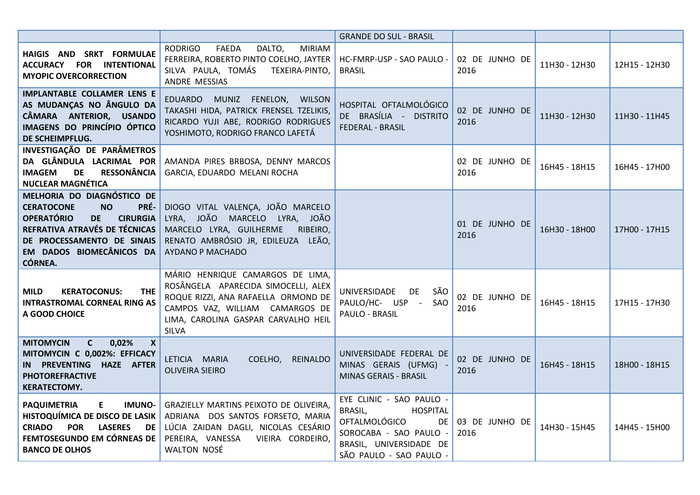|                                                                                                                                                                                                                                        |                                                                                                                                                                                                          | <b>GRANDE DO SUL - BRASIL</b>                                                                                                                                          |                        |               |               |
|----------------------------------------------------------------------------------------------------------------------------------------------------------------------------------------------------------------------------------------|----------------------------------------------------------------------------------------------------------------------------------------------------------------------------------------------------------|------------------------------------------------------------------------------------------------------------------------------------------------------------------------|------------------------|---------------|---------------|
| HAIGIS AND SRKT FORMULAE<br>ACCURACY FOR INTENTIONAL<br><b>MYOPIC OVERCORRECTION</b>                                                                                                                                                   | DALTO,<br>RODRIGO<br>FAEDA<br><b>MIRIAM</b><br>FERREIRA, ROBERTO PINTO COELHO, JAYTER<br>SILVA PAULA, TOMÁS<br>TEXEIRA-PINTO,<br>ANDRE MESSIAS                                                           | HC-FMRP-USP - SAO PAULO -<br><b>BRASIL</b>                                                                                                                             | 02 DE JUNHO DE<br>2016 | 11H30 - 12H30 | 12H15 - 12H30 |
| <b>IMPLANTABLE COLLAMER LENS E</b><br>AS MUDANÇAS NO ÂNGULO DA<br>CÂMARA ANTERIOR, USANDO<br>IMAGENS DO PRINCÍPIO ÓPTICO<br>DE SCHEIMPFLUG.                                                                                            | EDUARDO MUNIZ FENELON, WILSON<br>TAKASHI HIDA, PATRICK FRENSEL TZELIKIS,<br>RICARDO YUJI ABE, RODRIGO RODRIGUES<br>YOSHIMOTO, RODRIGO FRANCO LAFETÁ                                                      | HOSPITAL OFTALMOLÓGICO<br>DE BRASÍLIA - DISTRITO<br>FEDERAL - BRASIL                                                                                                   | 02 DE JUNHO DE<br>2016 | 11H30 - 12H30 | 11H30 - 11H45 |
| INVESTIGAÇÃO DE PARÂMETROS<br>DA GLÂNDULA LACRIMAL POR<br><b>RESSONÂNCIA</b><br><b>IMAGEM</b><br><b>DE</b><br><b>NUCLEAR MAGNÉTICA</b>                                                                                                 | AMANDA PIRES BRBOSA, DENNY MARCOS<br>GARCIA, EDUARDO MELANI ROCHA                                                                                                                                        |                                                                                                                                                                        | 02 DE JUNHO DE<br>2016 | 16H45 - 18H15 | 16H45 - 17H00 |
| MELHORIA DO DIAGNÓSTICO DE<br>PRÉ-<br><b>CERATOCONE</b><br><b>NO</b><br><b>OPERATÓRIO</b><br><b>CIRURGIA</b><br><b>DE</b><br>REFRATIVA ATRAVÉS DE TÉCNICAS<br>DE PROCESSAMENTO DE SINAIS<br>EM DADOS BIOMECÂNICOS DA<br><b>CÓRNEA.</b> | DIOGO VITAL VALENÇA, JOÃO MARCELO<br>LYRA, JOÃO MARCELO LYRA, JOÃO<br>MARCELO LYRA, GUILHERME<br>RIBEIRO,<br>RENATO AMBRÓSIO JR, EDILEUZA LEÃO,<br><b>AYDANO P MACHADO</b>                               |                                                                                                                                                                        | 01 DE JUNHO DE<br>2016 | 16H30 - 18H00 | 17H00 - 17H15 |
| <b>MILD</b><br><b>KERATOCONUS:</b><br><b>THE</b><br><b>INTRASTROMAL CORNEAL RING AS</b><br>A GOOD CHOICE                                                                                                                               | MÁRIO HENRIQUE CAMARGOS DE LIMA,<br>ROSÂNGELA APARECIDA SIMOCELLI, ALEX<br>ROQUE RIZZI, ANA RAFAELLA ORMOND DE<br>CAMPOS VAZ, WILLIAM CAMARGOS DE<br>LIMA, CAROLINA GASPAR CARVALHO HEIL<br><b>SILVA</b> | UNIVERSIDADE<br><b>DE</b><br>SÃO<br>PAULO/HC- USP -<br>SAO<br>PAULO - BRASIL                                                                                           | 02 DE JUNHO DE<br>2016 | 16H45 - 18H15 | 17H15 - 17H30 |
| $\mathsf{C}$<br>0,02%<br><b>MITOMYCIN</b><br>$\mathbf{x}$<br>MITOMYCIN C 0,002%: EFFICACY<br>IN PREVENTING HAZE AFTER<br><b>PHOTOREFRACTIVE</b><br><b>KERATECTOMY.</b>                                                                 | LETICIA MARIA<br>COELHO, REINALDO<br><b>OLIVEIRA SIEIRO</b>                                                                                                                                              | UNIVERSIDADE FEDERAL DE<br>MINAS GERAIS (UFMG) -<br><b>MINAS GERAIS - BRASIL</b>                                                                                       | 02 DE JUNHO DE<br>2016 | 16H45 - 18H15 | 18H00 - 18H15 |
| <b>IMUNO-</b><br><b>PAQUIMETRIA</b><br>E.<br>HISTOQUÍMICA DE DISCO DE LASIK<br><b>LASERES</b><br><b>CRIADO</b><br><b>POR</b><br>DE I<br>FEMTOSEGUNDO EM CÓRNEAS DE<br><b>BANCO DE OLHOS</b>                                            | GRAZIELLY MARTINS PEIXOTO DE OLIVEIRA,<br>ADRIANA DOS SANTOS FORSETO, MARIA<br>LÚCIA ZAIDAN DAGLI, NICOLAS CESÁRIO<br>PEREIRA, VANESSA VIEIRA CORDEIRO,<br><b>WALTON NOSÉ</b>                            | EYE CLINIC - SAO PAULO -<br>BRASIL,<br><b>HOSPITAL</b><br><b>OFTALMOLÓGICO</b><br>DE I<br>SOROCABA - SAO PAULO -<br>BRASIL, UNIVERSIDADE DE<br>SÃO PAULO - SAO PAULO - | 03 DE JUNHO DE<br>2016 | 14H30 - 15H45 | 14H45 - 15H00 |